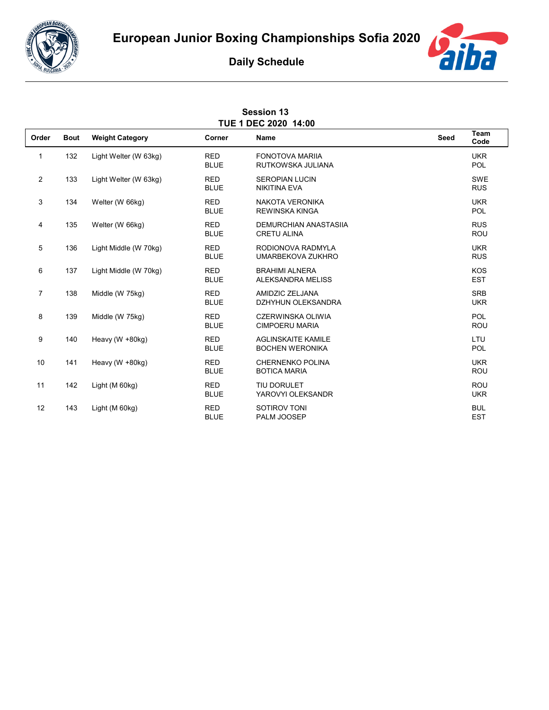



## **Daily Schedule**

| <b>Session 13</b><br>TUE 1 DEC 2020 14:00 |             |                        |                           |                                                     |      |                          |  |  |  |  |
|-------------------------------------------|-------------|------------------------|---------------------------|-----------------------------------------------------|------|--------------------------|--|--|--|--|
| Order                                     | <b>Bout</b> | <b>Weight Category</b> | Corner                    | <b>Name</b>                                         | Seed | Team<br>Code             |  |  |  |  |
| 1                                         | 132         | Light Welter (W 63kg)  | <b>RED</b><br><b>BLUE</b> | <b>FONOTOVA MARIIA</b><br>RUTKOWSKA JULIANA         |      | <b>UKR</b><br><b>POL</b> |  |  |  |  |
| 2                                         | 133         | Light Welter (W 63kg)  | <b>RED</b><br><b>BLUE</b> | <b>SEROPIAN LUCIN</b><br><b>NIKITINA EVA</b>        |      | SWE<br><b>RUS</b>        |  |  |  |  |
| 3                                         | 134         | Welter (W 66kg)        | <b>RED</b><br><b>BLUE</b> | NAKOTA VERONIKA<br><b>REWINSKA KINGA</b>            |      | <b>UKR</b><br><b>POL</b> |  |  |  |  |
| 4                                         | 135         | Welter (W 66kg)        | <b>RED</b><br><b>BLUE</b> | <b>DEMURCHIAN ANASTASIIA</b><br><b>CRETU ALINA</b>  |      | <b>RUS</b><br><b>ROU</b> |  |  |  |  |
| 5                                         | 136         | Light Middle (W 70kg)  | <b>RED</b><br><b>BLUE</b> | RODIONOVA RADMYLA<br>UMARBEKOVA ZUKHRO              |      | <b>UKR</b><br><b>RUS</b> |  |  |  |  |
| 6                                         | 137         | Light Middle (W 70kg)  | <b>RED</b><br><b>BLUE</b> | <b>BRAHIMI ALNERA</b><br><b>ALEKSANDRA MELISS</b>   |      | <b>KOS</b><br><b>EST</b> |  |  |  |  |
| $\overline{7}$                            | 138         | Middle (W 75kg)        | <b>RED</b><br><b>BLUE</b> | AMIDZIC ZELJANA<br>DZHYHUN OLEKSANDRA               |      | <b>SRB</b><br><b>UKR</b> |  |  |  |  |
| 8                                         | 139         | Middle (W 75kg)        | <b>RED</b><br><b>BLUE</b> | <b>CZERWINSKA OLIWIA</b><br><b>CIMPOERU MARIA</b>   |      | POL<br><b>ROU</b>        |  |  |  |  |
| 9                                         | 140         | Heavy ( $W + 80$ kg)   | <b>RED</b><br><b>BLUE</b> | <b>AGLINSKAITE KAMILE</b><br><b>BOCHEN WERONIKA</b> |      | LTU<br>POL               |  |  |  |  |
| 10                                        | 141         | Heavy (W +80kg)        | <b>RED</b><br><b>BLUE</b> | <b>CHERNENKO POLINA</b><br><b>BOTICA MARIA</b>      |      | <b>UKR</b><br><b>ROU</b> |  |  |  |  |
| 11                                        | 142         | Light (M 60kg)         | <b>RED</b><br><b>BLUE</b> | TIU DORULET<br>YAROVYI OLEKSANDR                    |      | <b>ROU</b><br><b>UKR</b> |  |  |  |  |
| 12                                        | 143         | Light (M 60kg)         | <b>RED</b><br><b>BLUE</b> | SOTIROV TONI<br>PALM JOOSEP                         |      | <b>BUL</b><br><b>EST</b> |  |  |  |  |